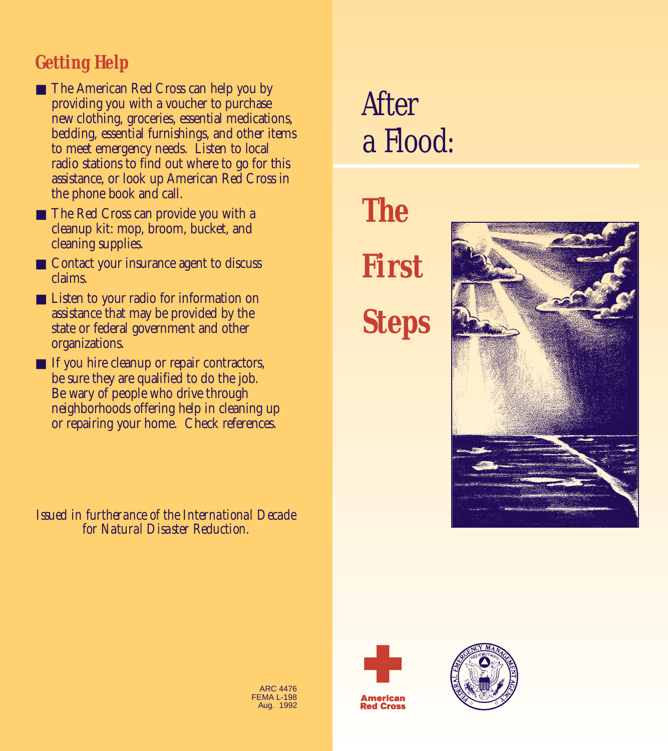## *Getting Help*

- The American Red Cross can help you by providing you with a voucher to purchase new clothing, groceries, essential medications, bedding, essential furnishings, and other items to meet emergency needs. Listen to local radio stations to find out where to go for this assistance, or look up American Red Cross in the phone book and call.
- The Red Cross can provide you with a cleanup kit: mop, broom, bucket, and cleaning supplies.
- Contact your insurance agent to discuss claims.
- Listen to your radio for information on assistance that may be provided by the state or federal government and other organizations.
- If you hire cleanup or repair contractors, be sure they are qualified to do the job. Be wary of people who drive through neighborhoods offering help in cleaning up or repairing your home. Check references.

*Issued in furtherance of the International Decade for Natural Disaster Reduction.* 

## *After a Flood:*

*The First Steps*





**Red Cross** 



ARC 4476 FEMA L-198 Aug. 1992